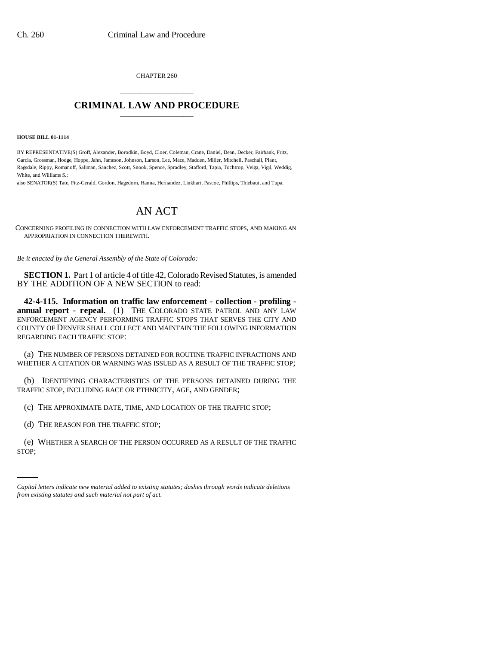CHAPTER 260 \_\_\_\_\_\_\_\_\_\_\_\_\_\_\_

## **CRIMINAL LAW AND PROCEDURE** \_\_\_\_\_\_\_\_\_\_\_\_\_\_\_

## **HOUSE BILL 01-1114**

BY REPRESENTATIVE(S) Groff, Alexander, Borodkin, Boyd, Cloer, Coleman, Crane, Daniel, Dean, Decker, Fairbank, Fritz, Garcia, Grossman, Hodge, Hoppe, Jahn, Jameson, Johnson, Larson, Lee, Mace, Madden, Miller, Mitchell, Paschall, Plant, Ragsdale, Rippy, Romanoff, Saliman, Sanchez, Scott, Snook, Spence, Spradley, Stafford, Tapia, Tochtrop, Veiga, Vigil, Weddig, White, and Williams  $S$ .

also SENATOR(S) Tate, Fitz-Gerald, Gordon, Hagedorn, Hanna, Hernandez, Linkhart, Pascoe, Phillips, Thiebaut, and Tupa.

## AN ACT

CONCERNING PROFILING IN CONNECTION WITH LAW ENFORCEMENT TRAFFIC STOPS, AND MAKING AN APPROPRIATION IN CONNECTION THEREWITH.

*Be it enacted by the General Assembly of the State of Colorado:*

**SECTION 1.** Part 1 of article 4 of title 42, Colorado Revised Statutes, is amended BY THE ADDITION OF A NEW SECTION to read:

**42-4-115. Information on traffic law enforcement - collection - profiling annual report - repeal.** (1) THE COLORADO STATE PATROL AND ANY LAW ENFORCEMENT AGENCY PERFORMING TRAFFIC STOPS THAT SERVES THE CITY AND COUNTY OF DENVER SHALL COLLECT AND MAINTAIN THE FOLLOWING INFORMATION REGARDING EACH TRAFFIC STOP:

(a) THE NUMBER OF PERSONS DETAINED FOR ROUTINE TRAFFIC INFRACTIONS AND WHETHER A CITATION OR WARNING WAS ISSUED AS A RESULT OF THE TRAFFIC STOP;

(b) IDENTIFYING CHARACTERISTICS OF THE PERSONS DETAINED DURING THE TRAFFIC STOP, INCLUDING RACE OR ETHNICITY, AGE, AND GENDER;

(c) THE APPROXIMATE DATE, TIME, AND LOCATION OF THE TRAFFIC STOP;

(d) THE REASON FOR THE TRAFFIC STOP;

(e) WHETHER A SEARCH OF THE PERSON OCCURRED AS A RESULT OF THE TRAFFIC STOP;

*Capital letters indicate new material added to existing statutes; dashes through words indicate deletions from existing statutes and such material not part of act.*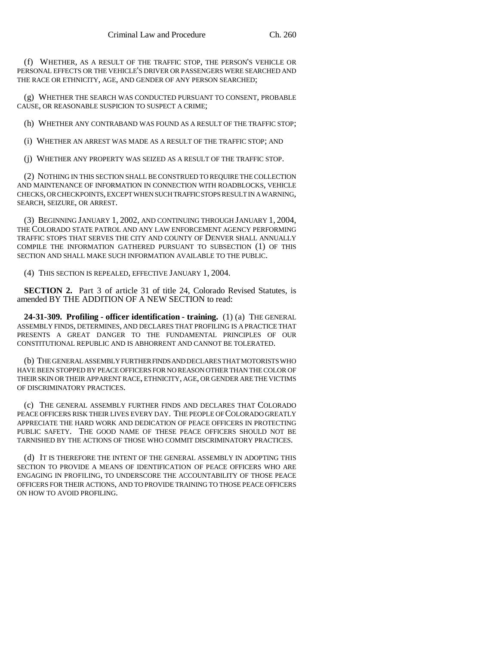(f) WHETHER, AS A RESULT OF THE TRAFFIC STOP, THE PERSON'S VEHICLE OR PERSONAL EFFECTS OR THE VEHICLE'S DRIVER OR PASSENGERS WERE SEARCHED AND THE RACE OR ETHNICITY, AGE, AND GENDER OF ANY PERSON SEARCHED;

(g) WHETHER THE SEARCH WAS CONDUCTED PURSUANT TO CONSENT, PROBABLE CAUSE, OR REASONABLE SUSPICION TO SUSPECT A CRIME;

(h) WHETHER ANY CONTRABAND WAS FOUND AS A RESULT OF THE TRAFFIC STOP;

(i) WHETHER AN ARREST WAS MADE AS A RESULT OF THE TRAFFIC STOP; AND

(j) WHETHER ANY PROPERTY WAS SEIZED AS A RESULT OF THE TRAFFIC STOP.

(2) NOTHING IN THIS SECTION SHALL BE CONSTRUED TO REQUIRE THE COLLECTION AND MAINTENANCE OF INFORMATION IN CONNECTION WITH ROADBLOCKS, VEHICLE CHECKS, OR CHECKPOINTS, EXCEPT WHEN SUCH TRAFFIC STOPS RESULT IN A WARNING, SEARCH, SEIZURE, OR ARREST.

(3) BEGINNING JANUARY 1, 2002, AND CONTINUING THROUGH JANUARY 1, 2004, THE COLORADO STATE PATROL AND ANY LAW ENFORCEMENT AGENCY PERFORMING TRAFFIC STOPS THAT SERVES THE CITY AND COUNTY OF DENVER SHALL ANNUALLY COMPILE THE INFORMATION GATHERED PURSUANT TO SUBSECTION (1) OF THIS SECTION AND SHALL MAKE SUCH INFORMATION AVAILABLE TO THE PUBLIC.

(4) THIS SECTION IS REPEALED, EFFECTIVE JANUARY 1, 2004.

**SECTION 2.** Part 3 of article 31 of title 24, Colorado Revised Statutes, is amended BY THE ADDITION OF A NEW SECTION to read:

**24-31-309. Profiling - officer identification - training.** (1) (a) THE GENERAL ASSEMBLY FINDS, DETERMINES, AND DECLARES THAT PROFILING IS A PRACTICE THAT PRESENTS A GREAT DANGER TO THE FUNDAMENTAL PRINCIPLES OF OUR CONSTITUTIONAL REPUBLIC AND IS ABHORRENT AND CANNOT BE TOLERATED.

(b) THE GENERAL ASSEMBLY FURTHER FINDS AND DECLARES THAT MOTORISTS WHO HAVE BEEN STOPPED BY PEACE OFFICERS FOR NO REASON OTHER THAN THE COLOR OF THEIR SKIN OR THEIR APPARENT RACE, ETHNICITY, AGE, OR GENDER ARE THE VICTIMS OF DISCRIMINATORY PRACTICES.

(c) THE GENERAL ASSEMBLY FURTHER FINDS AND DECLARES THAT COLORADO PEACE OFFICERS RISK THEIR LIVES EVERY DAY. THE PEOPLE OF COLORADO GREATLY APPRECIATE THE HARD WORK AND DEDICATION OF PEACE OFFICERS IN PROTECTING PUBLIC SAFETY. THE GOOD NAME OF THESE PEACE OFFICERS SHOULD NOT BE TARNISHED BY THE ACTIONS OF THOSE WHO COMMIT DISCRIMINATORY PRACTICES.

(d) IT IS THEREFORE THE INTENT OF THE GENERAL ASSEMBLY IN ADOPTING THIS SECTION TO PROVIDE A MEANS OF IDENTIFICATION OF PEACE OFFICERS WHO ARE ENGAGING IN PROFILING, TO UNDERSCORE THE ACCOUNTABILITY OF THOSE PEACE OFFICERS FOR THEIR ACTIONS, AND TO PROVIDE TRAINING TO THOSE PEACE OFFICERS ON HOW TO AVOID PROFILING.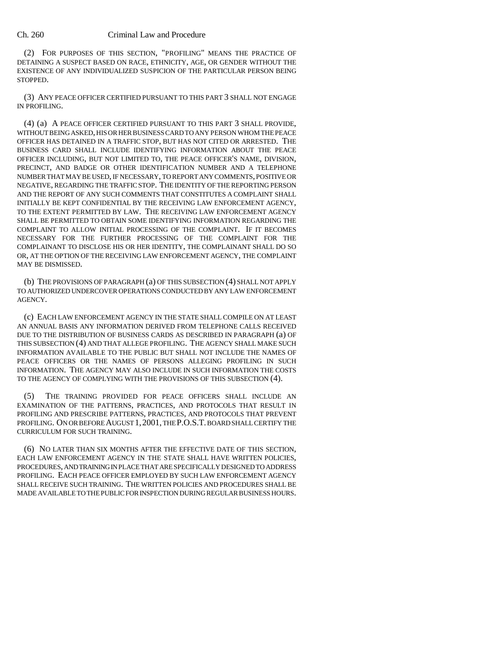## Ch. 260 Criminal Law and Procedure

(2) FOR PURPOSES OF THIS SECTION, "PROFILING" MEANS THE PRACTICE OF DETAINING A SUSPECT BASED ON RACE, ETHNICITY, AGE, OR GENDER WITHOUT THE EXISTENCE OF ANY INDIVIDUALIZED SUSPICION OF THE PARTICULAR PERSON BEING STOPPED.

(3) ANY PEACE OFFICER CERTIFIED PURSUANT TO THIS PART 3 SHALL NOT ENGAGE IN PROFILING.

(4) (a) A PEACE OFFICER CERTIFIED PURSUANT TO THIS PART 3 SHALL PROVIDE, WITHOUT BEING ASKED, HIS OR HER BUSINESS CARD TO ANY PERSON WHOM THE PEACE OFFICER HAS DETAINED IN A TRAFFIC STOP, BUT HAS NOT CITED OR ARRESTED. THE BUSINESS CARD SHALL INCLUDE IDENTIFYING INFORMATION ABOUT THE PEACE OFFICER INCLUDING, BUT NOT LIMITED TO, THE PEACE OFFICER'S NAME, DIVISION, PRECINCT, AND BADGE OR OTHER IDENTIFICATION NUMBER AND A TELEPHONE NUMBER THAT MAY BE USED, IF NECESSARY, TO REPORT ANY COMMENTS, POSITIVE OR NEGATIVE, REGARDING THE TRAFFIC STOP. THE IDENTITY OF THE REPORTING PERSON AND THE REPORT OF ANY SUCH COMMENTS THAT CONSTITUTES A COMPLAINT SHALL INITIALLY BE KEPT CONFIDENTIAL BY THE RECEIVING LAW ENFORCEMENT AGENCY, TO THE EXTENT PERMITTED BY LAW. THE RECEIVING LAW ENFORCEMENT AGENCY SHALL BE PERMITTED TO OBTAIN SOME IDENTIFYING INFORMATION REGARDING THE COMPLAINT TO ALLOW INITIAL PROCESSING OF THE COMPLAINT. IF IT BECOMES NECESSARY FOR THE FURTHER PROCESSING OF THE COMPLAINT FOR THE COMPLAINANT TO DISCLOSE HIS OR HER IDENTITY, THE COMPLAINANT SHALL DO SO OR, AT THE OPTION OF THE RECEIVING LAW ENFORCEMENT AGENCY, THE COMPLAINT MAY BE DISMISSED.

(b) THE PROVISIONS OF PARAGRAPH (a) OF THIS SUBSECTION (4) SHALL NOT APPLY TO AUTHORIZED UNDERCOVER OPERATIONS CONDUCTED BY ANY LAW ENFORCEMENT AGENCY.

(c) EACH LAW ENFORCEMENT AGENCY IN THE STATE SHALL COMPILE ON AT LEAST AN ANNUAL BASIS ANY INFORMATION DERIVED FROM TELEPHONE CALLS RECEIVED DUE TO THE DISTRIBUTION OF BUSINESS CARDS AS DESCRIBED IN PARAGRAPH (a) OF THIS SUBSECTION (4) AND THAT ALLEGE PROFILING. THE AGENCY SHALL MAKE SUCH INFORMATION AVAILABLE TO THE PUBLIC BUT SHALL NOT INCLUDE THE NAMES OF PEACE OFFICERS OR THE NAMES OF PERSONS ALLEGING PROFILING IN SUCH INFORMATION. THE AGENCY MAY ALSO INCLUDE IN SUCH INFORMATION THE COSTS TO THE AGENCY OF COMPLYING WITH THE PROVISIONS OF THIS SUBSECTION (4).

(5) THE TRAINING PROVIDED FOR PEACE OFFICERS SHALL INCLUDE AN EXAMINATION OF THE PATTERNS, PRACTICES, AND PROTOCOLS THAT RESULT IN PROFILING AND PRESCRIBE PATTERNS, PRACTICES, AND PROTOCOLS THAT PREVENT PROFILING. ON OR BEFORE AUGUST 1, 2001, THE P.O.S.T. BOARD SHALL CERTIFY THE CURRICULUM FOR SUCH TRAINING.

(6) NO LATER THAN SIX MONTHS AFTER THE EFFECTIVE DATE OF THIS SECTION, EACH LAW ENFORCEMENT AGENCY IN THE STATE SHALL HAVE WRITTEN POLICIES, PROCEDURES, AND TRAINING IN PLACE THAT ARE SPECIFICALLY DESIGNED TO ADDRESS PROFILING. EACH PEACE OFFICER EMPLOYED BY SUCH LAW ENFORCEMENT AGENCY SHALL RECEIVE SUCH TRAINING. THE WRITTEN POLICIES AND PROCEDURES SHALL BE MADE AVAILABLE TO THE PUBLIC FOR INSPECTION DURING REGULAR BUSINESS HOURS.